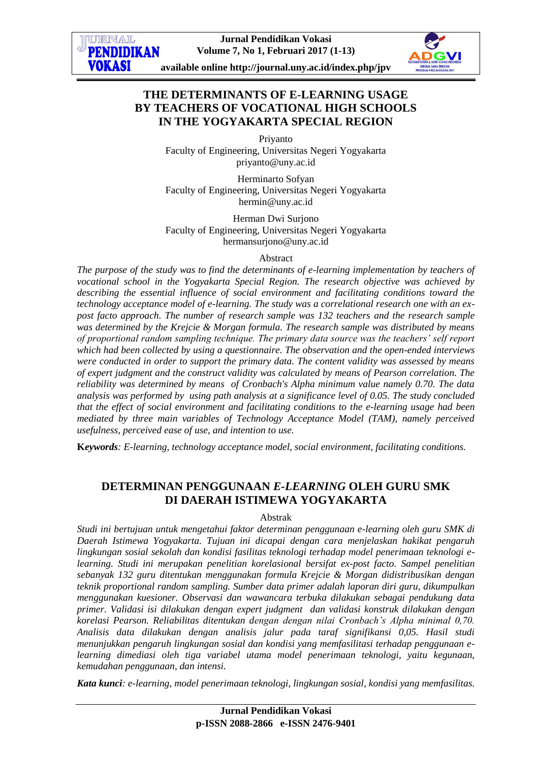

# **THE DETERMINANTS OF E-LEARNING USAGE BY TEACHERS OF VOCATIONAL HIGH SCHOOLS IN THE YOGYAKARTA SPECIAL REGION**

Priyanto Faculty of Engineering, Universitas Negeri Yogyakarta [priyanto@uny.ac.id](mailto:priyanto@uny.ac.id)

Herminarto Sofyan Faculty of Engineering, Universitas Negeri Yogyakarta hermin@uny.ac.id

Herman Dwi Surjono Faculty of Engineering, Universitas Negeri Yogyakarta [hermansurjono@uny.ac.id](mailto:hermin@uny.ac.id,hermansurjono@uny.ac.id)

#### Abstract

*The purpose of the study was to find the determinants of e-learning implementation by teachers of vocational school in the Yogyakarta Special Region. The research objective was achieved by describing the essential influence of social environment and facilitating conditions toward the technology acceptance model of e-learning. The study was a correlational research one with an expost facto approach. The number of research sample was 132 teachers and the research sample was determined by the Krejcie & Morgan formula. The research sample was distributed by means of proportional random sampling technique. The primary data source was the teachers' self report which had been collected by using a questionnaire. The observation and the open-ended interviews were conducted in order to support the primary data. The content validity was assessed by means of expert judgment and the construct validity was calculated by means of Pearson correlation. The reliability was determined by means of Cronbach's Alpha minimum value namely 0.70. The data analysis was performed by using path analysis at a significance level of 0.05. The study concluded that the effect of social environment and facilitating conditions to the e-learning usage had been mediated by three main variables of Technology Acceptance Model (TAM), namely perceived usefulness, perceived ease of use, and intention to use.*

**K***eywords: E-learning, technology acceptance model, social environment, facilitating conditions.*

# **DETERMINAN PENGGUNAAN** *E-LEARNING* **OLEH GURU SMK DI DAERAH ISTIMEWA YOGYAKARTA**

#### Abstrak

*Studi ini bertujuan untuk mengetahui faktor determinan penggunaan e-learning oleh guru SMK di Daerah Istimewa Yogyakarta. Tujuan ini dicapai dengan cara menjelaskan hakikat pengaruh lingkungan sosial sekolah dan kondisi fasilitas teknologi terhadap model penerimaan teknologi elearning. Studi ini merupakan penelitian korelasional bersifat ex-post facto. Sampel penelitian sebanyak 132 guru ditentukan menggunakan formula Krejcie & Morgan didistribusikan dengan teknik proportional random sampling. Sumber data primer adalah laporan diri guru, dikumpulkan menggunakan kuesioner. Observasi dan wawancara terbuka dilakukan sebagai pendukung data primer. Validasi isi dilakukan dengan expert judgment dan validasi konstruk dilakukan dengan korelasi Pearson. Reliabilitas ditentukan dengan dengan nilai Cronbach's Alpha minimal 0,70. Analisis data dilakukan dengan analisis jalur pada taraf signifikansi 0,05. Hasil studi menunjukkan pengaruh lingkungan sosial dan kondisi yang memfasilitasi terhadap penggunaan elearning dimediasi oleh tiga variabel utama model penerimaan teknologi, yaitu kegunaan, kemudahan penggunaan, dan intensi.*

*Kata kunci: e-learning, model penerimaan teknologi, lingkungan sosial, kondisi yang memfasilitas.*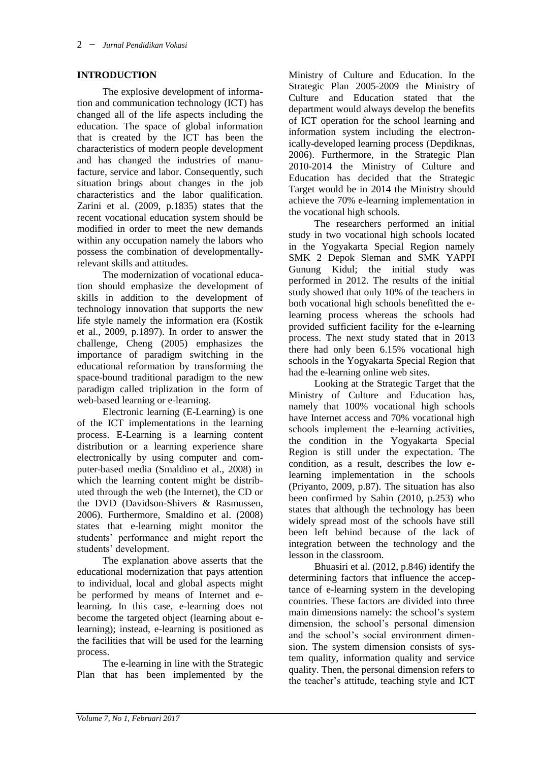### **INTRODUCTION**

The explosive development of information and communication technology (ICT) has changed all of the life aspects including the education. The space of global information that is created by the ICT has been the characteristics of modern people development and has changed the industries of manufacture, service and labor. Consequently, such situation brings about changes in the job characteristics and the labor qualification. Zarini et al. (2009, p.1835) states that the recent vocational education system should be modified in order to meet the new demands within any occupation namely the labors who possess the combination of developmentallyrelevant skills and attitudes.

The modernization of vocational education should emphasize the development of skills in addition to the development of technology innovation that supports the new life style namely the information era (Kostik et al., 2009, p.1897). In order to answer the challenge, Cheng (2005) emphasizes the importance of paradigm switching in the educational reformation by transforming the space-bound traditional paradigm to the new paradigm called triplization in the form of web-based learning or e-learning.

Electronic learning (E-Learning) is one of the ICT implementations in the learning process. E-Learning is a learning content distribution or a learning experience share electronically by using computer and computer-based media (Smaldino et al., 2008) in which the learning content might be distributed through the web (the Internet), the CD or the DVD (Davidson-Shivers & Rasmussen, 2006). Furthermore, Smaldino et al. (2008) states that e-learning might monitor the students' performance and might report the students' development.

The explanation above asserts that the educational modernization that pays attention to individual, local and global aspects might be performed by means of Internet and elearning. In this case, e-learning does not become the targeted object (learning about elearning); instead, e-learning is positioned as the facilities that will be used for the learning process.

The e-learning in line with the Strategic Plan that has been implemented by the

Ministry of Culture and Education. In the Strategic Plan 2005-2009 the Ministry of Culture and Education stated that the department would always develop the benefits of ICT operation for the school learning and information system including the electronically-developed learning process (Depdiknas, 2006). Furthermore, in the Strategic Plan 2010-2014 the Ministry of Culture and Education has decided that the Strategic Target would be in 2014 the Ministry should achieve the 70% e-learning implementation in the vocational high schools.

The researchers performed an initial study in two vocational high schools located in the Yogyakarta Special Region namely SMK 2 Depok Sleman and SMK YAPPI Gunung Kidul; the initial study was performed in 2012. The results of the initial study showed that only 10% of the teachers in both vocational high schools benefitted the elearning process whereas the schools had provided sufficient facility for the e-learning process. The next study stated that in 2013 there had only been 6.15% vocational high schools in the Yogyakarta Special Region that had the e-learning online web sites.

Looking at the Strategic Target that the Ministry of Culture and Education has, namely that 100% vocational high schools have Internet access and 70% vocational high schools implement the e-learning activities, the condition in the Yogyakarta Special Region is still under the expectation. The condition, as a result, describes the low elearning implementation in the schools (Priyanto, 2009, p.87). The situation has also been confirmed by Sahin (2010, p.253) who states that although the technology has been widely spread most of the schools have still been left behind because of the lack of integration between the technology and the lesson in the classroom.

Bhuasiri et al. (2012, p.846) identify the determining factors that influence the acceptance of e-learning system in the developing countries. These factors are divided into three main dimensions namely: the school's system dimension, the school's personal dimension and the school's social environment dimension. The system dimension consists of system quality, information quality and service quality. Then, the personal dimension refers to the teacher's attitude, teaching style and ICT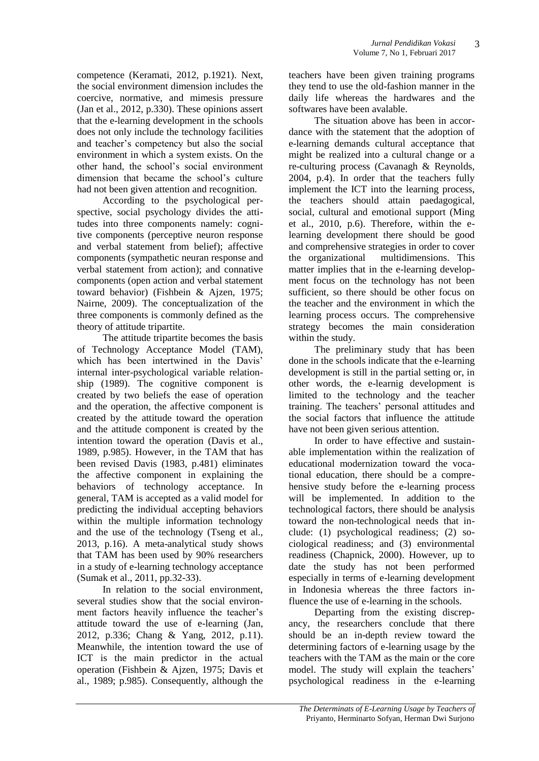competence (Keramati, 2012, p.1921). Next, the social environment dimension includes the coercive, normative, and mimesis pressure (Jan et al., 2012, p.330). These opinions assert that the e-learning development in the schools does not only include the technology facilities and teacher's competency but also the social environment in which a system exists. On the other hand, the school's social environment dimension that became the school's culture had not been given attention and recognition.

According to the psychological perspective, social psychology divides the attitudes into three components namely: cognitive components (perceptive neuron response and verbal statement from belief); affective components (sympathetic neuran response and verbal statement from action); and connative components (open action and verbal statement toward behavior) (Fishbein & Ajzen, 1975; Nairne, 2009). The conceptualization of the three components is commonly defined as the theory of attitude tripartite.

The attitude tripartite becomes the basis of Technology Acceptance Model (TAM), which has been intertwined in the Davis' internal inter-psychological variable relationship (1989). The cognitive component is created by two beliefs the ease of operation and the operation, the affective component is created by the attitude toward the operation and the attitude component is created by the intention toward the operation (Davis et al., 1989, p.985). However, in the TAM that has been revised Davis (1983, p.481) eliminates the affective component in explaining the behaviors of technology acceptance. In general, TAM is accepted as a valid model for predicting the individual accepting behaviors within the multiple information technology and the use of the technology (Tseng et al., 2013, p.16). A meta-analytical study shows that TAM has been used by 90% researchers in a study of e-learning technology acceptance (Sumak et al., 2011, pp.32-33).

In relation to the social environment, several studies show that the social environment factors heavily influence the teacher's attitude toward the use of e-learning (Jan, 2012, p.336; Chang & Yang, 2012, p.11). Meanwhile, the intention toward the use of ICT is the main predictor in the actual operation (Fishbein & Ajzen, 1975; Davis et al., 1989; p.985). Consequently, although the teachers have been given training programs they tend to use the old-fashion manner in the daily life whereas the hardwares and the softwares have been avalable.

The situation above has been in accordance with the statement that the adoption of e-learning demands cultural acceptance that might be realized into a cultural change or a re-culturing process (Cavanagh & Reynolds, 2004, p.4). In order that the teachers fully implement the ICT into the learning process, the teachers should attain paedagogical, social, cultural and emotional support (Ming et al., 2010, p.6). Therefore, within the elearning development there should be good and comprehensive strategies in order to cover the organizational multidimensions. This matter implies that in the e-learning development focus on the technology has not been sufficient, so there should be other focus on the teacher and the environment in which the learning process occurs. The comprehensive strategy becomes the main consideration within the study.

The preliminary study that has been done in the schools indicate that the e-learning development is still in the partial setting or, in other words, the e-learnig development is limited to the technology and the teacher training. The teachers' personal attitudes and the social factors that influence the attitude have not been given serious attention.

In order to have effective and sustainable implementation within the realization of educational modernization toward the vocational education, there should be a comprehensive study before the e-learning process will be implemented. In addition to the technological factors, there should be analysis toward the non-technological needs that include: (1) psychological readiness; (2) sociological readiness; and (3) environmental readiness (Chapnick, 2000). However, up to date the study has not been performed especially in terms of e-learning development in Indonesia whereas the three factors influence the use of e-learning in the schools.

Departing from the existing discrepancy, the researchers conclude that there should be an in-depth review toward the determining factors of e-learning usage by the teachers with the TAM as the main or the core model. The study will explain the teachers' psychological readiness in the e-learning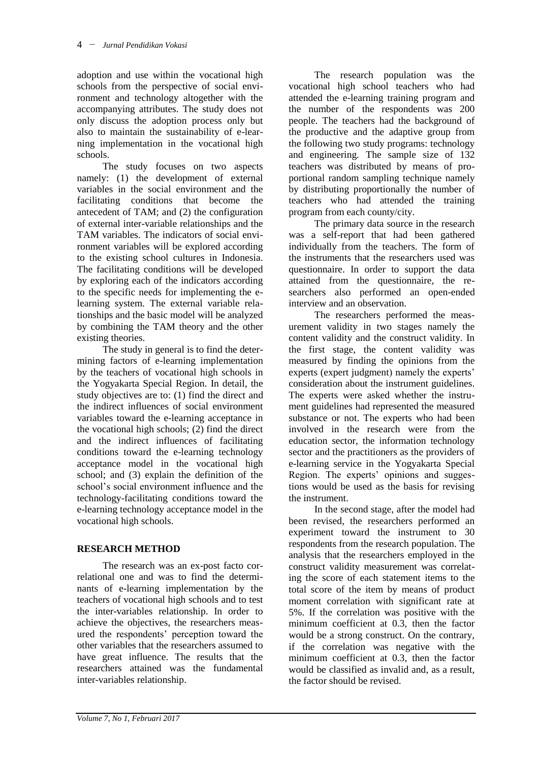adoption and use within the vocational high schools from the perspective of social environment and technology altogether with the accompanying attributes. The study does not only discuss the adoption process only but also to maintain the sustainability of e-learning implementation in the vocational high schools.

The study focuses on two aspects namely: (1) the development of external variables in the social environment and the facilitating conditions that become the antecedent of TAM; and (2) the configuration of external inter-variable relationships and the TAM variables. The indicators of social environment variables will be explored according to the existing school cultures in Indonesia. The facilitating conditions will be developed by exploring each of the indicators according to the specific needs for implementing the elearning system. The external variable relationships and the basic model will be analyzed by combining the TAM theory and the other existing theories.

The study in general is to find the determining factors of e-learning implementation by the teachers of vocational high schools in the Yogyakarta Special Region. In detail, the study objectives are to: (1) find the direct and the indirect influences of social environment variables toward the e-learning acceptance in the vocational high schools; (2) find the direct and the indirect influences of facilitating conditions toward the e-learning technology acceptance model in the vocational high school; and (3) explain the definition of the school's social environment influence and the technology-facilitating conditions toward the e-learning technology acceptance model in the vocational high schools.

### **RESEARCH METHOD**

The research was an ex-post facto correlational one and was to find the determinants of e-learning implementation by the teachers of vocational high schools and to test the inter-variables relationship. In order to achieve the objectives, the researchers measured the respondents' perception toward the other variables that the researchers assumed to have great influence. The results that the researchers attained was the fundamental inter-variables relationship.

The research population was the vocational high school teachers who had attended the e-learning training program and the number of the respondents was 200 people. The teachers had the background of the productive and the adaptive group from the following two study programs: technology and engineering. The sample size of 132 teachers was distributed by means of proportional random sampling technique namely by distributing proportionally the number of teachers who had attended the training program from each county/city.

The primary data source in the research was a self-report that had been gathered individually from the teachers. The form of the instruments that the researchers used was questionnaire. In order to support the data attained from the questionnaire, the researchers also performed an open-ended interview and an observation.

The researchers performed the measurement validity in two stages namely the content validity and the construct validity. In the first stage, the content validity was measured by finding the opinions from the experts (expert judgment) namely the experts' consideration about the instrument guidelines. The experts were asked whether the instrument guidelines had represented the measured substance or not. The experts who had been involved in the research were from the education sector, the information technology sector and the practitioners as the providers of e-learning service in the Yogyakarta Special Region. The experts' opinions and suggestions would be used as the basis for revising the instrument.

In the second stage, after the model had been revised, the researchers performed an experiment toward the instrument to 30 respondents from the research population. The analysis that the researchers employed in the construct validity measurement was correlating the score of each statement items to the total score of the item by means of product moment correlation with significant rate at 5%. If the correlation was positive with the minimum coefficient at 0.3, then the factor would be a strong construct. On the contrary, if the correlation was negative with the minimum coefficient at 0.3, then the factor would be classified as invalid and, as a result, the factor should be revised.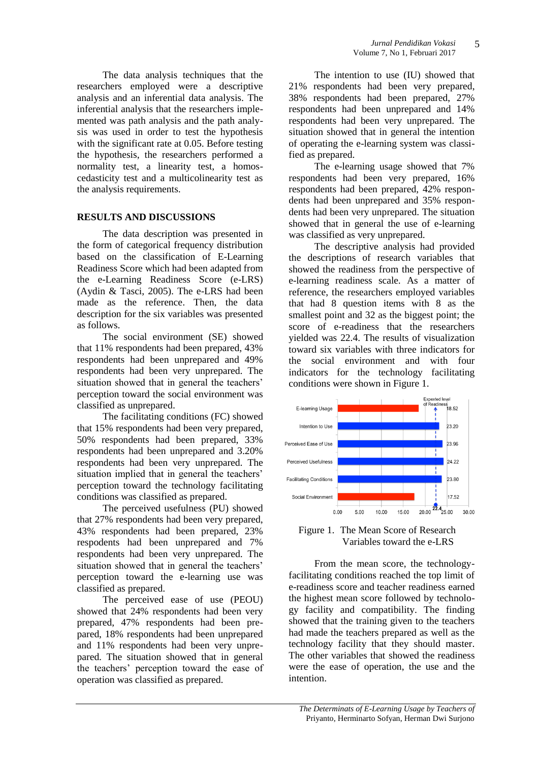The data analysis techniques that the researchers employed were a descriptive analysis and an inferential data analysis. The inferential analysis that the researchers implemented was path analysis and the path analysis was used in order to test the hypothesis with the significant rate at 0.05. Before testing the hypothesis, the researchers performed a normality test, a linearity test, a homoscedasticity test and a multicolinearity test as the analysis requirements.

## **RESULTS AND DISCUSSIONS**

The data description was presented in the form of categorical frequency distribution based on the classification of E-Learning Readiness Score which had been adapted from the e-Learning Readiness Score (e-LRS) (Aydin & Tasci, 2005). The e-LRS had been made as the reference. Then, the data description for the six variables was presented as follows.

The social environment (SE) showed that 11% respondents had been prepared, 43% respondents had been unprepared and 49% respondents had been very unprepared. The situation showed that in general the teachers' perception toward the social environment was classified as unprepared.

The facilitating conditions (FC) showed that 15% respondents had been very prepared, 50% respondents had been prepared, 33% respondents had been unprepared and 3.20% respondents had been very unprepared. The situation implied that in general the teachers' perception toward the technology facilitating conditions was classified as prepared.

The perceived usefulness (PU) showed that 27% respondents had been very prepared, 43% respondents had been prepared, 23% respodents had been unprepared and 7% respondents had been very unprepared. The situation showed that in general the teachers' perception toward the e-learning use was classified as prepared.

The perceived ease of use (PEOU) showed that 24% respondents had been very prepared, 47% respondents had been prepared, 18% respondents had been unprepared and 11% respondents had been very unprepared. The situation showed that in general the teachers' perception toward the ease of operation was classified as prepared.

The intention to use (IU) showed that 21% respondents had been very prepared, 38% respondents had been prepared, 27% respondents had been unprepared and 14% respondents had been very unprepared. The situation showed that in general the intention of operating the e-learning system was classified as prepared.

The e-learning usage showed that 7% respondents had been very prepared, 16% respondents had been prepared, 42% respondents had been unprepared and 35% respondents had been very unprepared. The situation showed that in general the use of e-learning was classified as very unprepared.

The descriptive analysis had provided the descriptions of research variables that showed the readiness from the perspective of e-learning readiness scale. As a matter of reference, the researchers employed variables that had 8 question items with 8 as the smallest point and 32 as the biggest point; the score of e-readiness that the researchers yielded was 22.4. The results of visualization toward six variables with three indicators for the social environment and with four indicators for the technology facilitating conditions were shown in Figure 1.



Figure 1. The Mean Score of Research Variables toward the e-LRS

From the mean score, the technologyfacilitating conditions reached the top limit of e-readiness score and teacher readiness earned the highest mean score followed by technology facility and compatibility. The finding showed that the training given to the teachers had made the teachers prepared as well as the technology facility that they should master. The other variables that showed the readiness were the ease of operation, the use and the intention.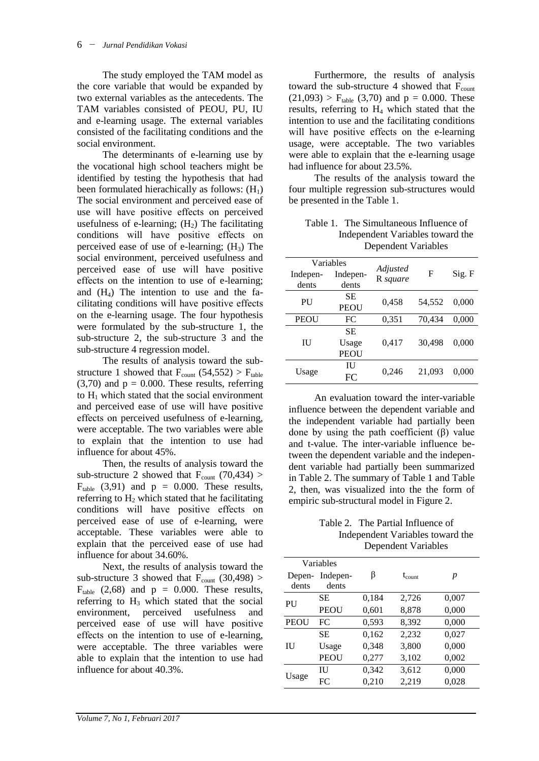The study employed the TAM model as the core variable that would be expanded by two external variables as the antecedents. The TAM variables consisted of PEOU, PU, IU and e-learning usage. The external variables consisted of the facilitating conditions and the social environment.

The determinants of e-learning use by the vocational high school teachers might be identified by testing the hypothesis that had been formulated hierachically as follows:  $(H<sub>1</sub>)$ The social environment and perceived ease of use will have positive effects on perceived usefulness of e-learning;  $(H_2)$  The facilitating conditions will have positive effects on perceived ease of use of e-learning;  $(H_3)$  The social environment, perceived usefulness and perceived ease of use will have positive effects on the intention to use of e-learning; and  $(H_4)$  The intention to use and the facilitating conditions will have positive effects on the e-learning usage. The four hypothesis were formulated by the sub-structure 1, the sub-structure 2, the sub-structure 3 and the sub-structure 4 regression model.

The results of analysis toward the substructure 1 showed that  $F_{\text{count}}$  (54,552) >  $F_{\text{table}}$  $(3,70)$  and  $p = 0.000$ . These results, referring to  $H_1$  which stated that the social environment and perceived ease of use will have positive effects on perceived usefulness of e-learning, were acceptable. The two variables were able to explain that the intention to use had influence for about 45%.

Then, the results of analysis toward the sub-structure 2 showed that  $F_{\text{count}}$  (70,434) >  $F_{table}$  (3,91) and  $p = 0.000$ . These results, referring to  $H_2$  which stated that he facilitating conditions will have positive effects on perceived ease of use of e-learning, were acceptable. These variables were able to explain that the perceived ease of use had influence for about 34.60%.

Next, the results of analysis toward the sub-structure 3 showed that  $F_{\text{count}}$  (30,498) >  $F_{table}$  (2,68) and  $p = 0.000$ . These results, referring to  $H_3$  which stated that the social environment, perceived usefulness and perceived ease of use will have positive effects on the intention to use of e-learning, were acceptable. The three variables were able to explain that the intention to use had influence for about 40.3%.

Furthermore, the results of analysis toward the sub-structure 4 showed that  $F_{\text{count}}$  $(21,093)$  > F<sub>table</sub>  $(3,70)$  and  $p = 0.000$ . These results, referring to H<sup>4</sup> which stated that the intention to use and the facilitating conditions will have positive effects on the e-learning usage, were acceptable. The two variables were able to explain that the e-learning usage had influence for about 23.5%.

The results of the analysis toward the four multiple regression sub-structures would be presented in the Table 1.

Table 1. The Simultaneous Influence of Independent Variables toward the Dependent Variables

| Variables   |             | Adjusted |        |        |  |
|-------------|-------------|----------|--------|--------|--|
| Indepen-    | Indepen-    | R square | F      | Sig. F |  |
| dents       | dents       |          |        |        |  |
| PU          | SЕ          | 0,458    | 54,552 | 0.000  |  |
|             | <b>PEOU</b> |          |        |        |  |
| <b>PEOU</b> | FC          | 0,351    | 70,434 | 0,000  |  |
| НJ          | SЕ          |          |        |        |  |
|             | Usage       | 0,417    | 30,498 | 0.000  |  |
|             | PEOU        |          |        |        |  |
| Usage       | ПJ          |          | 21,093 | 0.000  |  |
|             | FC          | 0,246    |        |        |  |

An evaluation toward the inter-variable influence between the dependent variable and the independent variable had partially been done by using the path coefficient (β) value and t-value. The inter-variable influence between the dependent variable and the independent variable had partially been summarized in Table 2. The summary of Table 1 and Table 2, then, was visualized into the the form of empiric sub-structural model in Figure 2.

Table 2. The Partial Influence of Independent Variables toward the Dependent Variables

|                 | Variables         |       |                    |       |
|-----------------|-------------------|-------|--------------------|-------|
| Depen-<br>dents | Indepen-<br>dents | β     | $t_{\text{count}}$ | p     |
| PU              | SЕ                | 0,184 | 2,726              | 0,007 |
|                 | PEOU              | 0,601 | 8,878              | 0,000 |
| <b>PEOU</b>     | FC                | 0,593 | 8,392              | 0,000 |
| ΠJ              | SE.               | 0,162 | 2,232              | 0,027 |
|                 | Usage             | 0,348 | 3,800              | 0,000 |
|                 | <b>PEOU</b>       | 0,277 | 3,102              | 0,002 |
| Usage           | Ш                 | 0,342 | 3,612              | 0,000 |
|                 | FC                | 0,210 | 2,219              | 0,028 |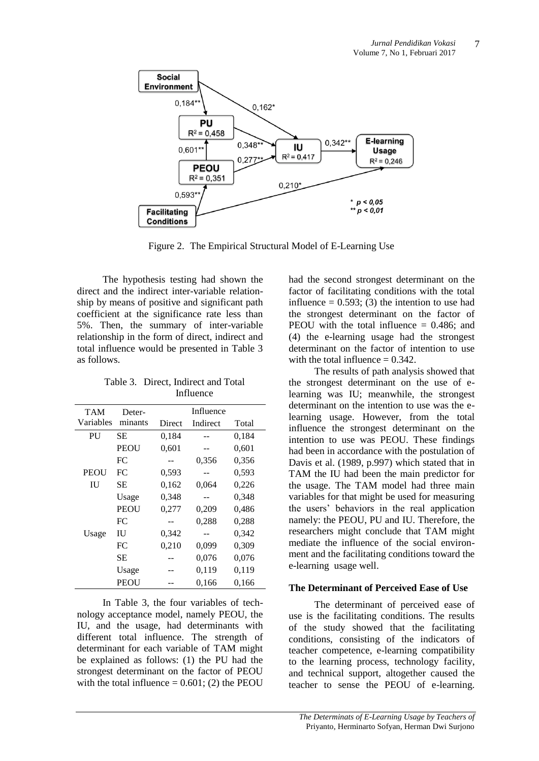

Figure 2. The Empirical Structural Model of E-Learning Use

The hypothesis testing had shown the direct and the indirect inter-variable relationship by means of positive and significant path coefficient at the significance rate less than 5%. Then, the summary of inter-variable relationship in the form of direct, indirect and total influence would be presented in Table 3 as follows.

Table 3. Direct, Indirect and Total Influence

| <b>TAM</b>  | Deter-  | Influence |          |       |
|-------------|---------|-----------|----------|-------|
| Variables   | minants | Direct    | Indirect | Total |
| PU          | SЕ      | 0.184     |          | 0,184 |
|             | PEOU    | 0,601     |          | 0,601 |
|             | FC.     |           | 0,356    | 0,356 |
| <b>PEOU</b> | FC      | 0,593     |          | 0,593 |
| ΙU          | SЕ      | 0,162     | 0,064    | 0,226 |
|             | Usage   | 0,348     | --       | 0,348 |
|             | PEOU    | 0,277     | 0,209    | 0,486 |
|             | FC      |           | 0,288    | 0,288 |
| Usage       | ΙU      | 0,342     |          | 0,342 |
|             | FC.     | 0,210     | 0,099    | 0,309 |
|             | SЕ      |           | 0,076    | 0,076 |
|             | Usage   |           | 0,119    | 0,119 |
|             | PEOU    |           | 0,166    | 0,166 |

In Table 3, the four variables of technology acceptance model, namely PEOU, the IU, and the usage, had determinants with different total influence. The strength of determinant for each variable of TAM might be explained as follows: (1) the PU had the strongest determinant on the factor of PEOU with the total influence  $= 0.601$ ; (2) the PEOU

had the second strongest determinant on the factor of facilitating conditions with the total influence  $= 0.593$ ; (3) the intention to use had the strongest determinant on the factor of PEOU with the total influence  $= 0.486$ ; and (4) the e-learning usage had the strongest determinant on the factor of intention to use with the total influence  $= 0.342$ .

The results of path analysis showed that the strongest determinant on the use of elearning was IU; meanwhile, the strongest determinant on the intention to use was the elearning usage. However, from the total influence the strongest determinant on the intention to use was PEOU. These findings had been in accordance with the postulation of Davis et al. (1989, p.997) which stated that in TAM the IU had been the main predictor for the usage. The TAM model had three main variables for that might be used for measuring the users' behaviors in the real application namely: the PEOU, PU and IU. Therefore, the researchers might conclude that TAM might mediate the influence of the social environment and the facilitating conditions toward the e-learning usage well.

### **The Determinant of Perceived Ease of Use**

The determinant of perceived ease of use is the facilitating conditions. The results of the study showed that the facilitating conditions, consisting of the indicators of teacher competence, e-learning compatibility to the learning process, technology facility, and technical support, altogether caused the teacher to sense the PEOU of e-learning.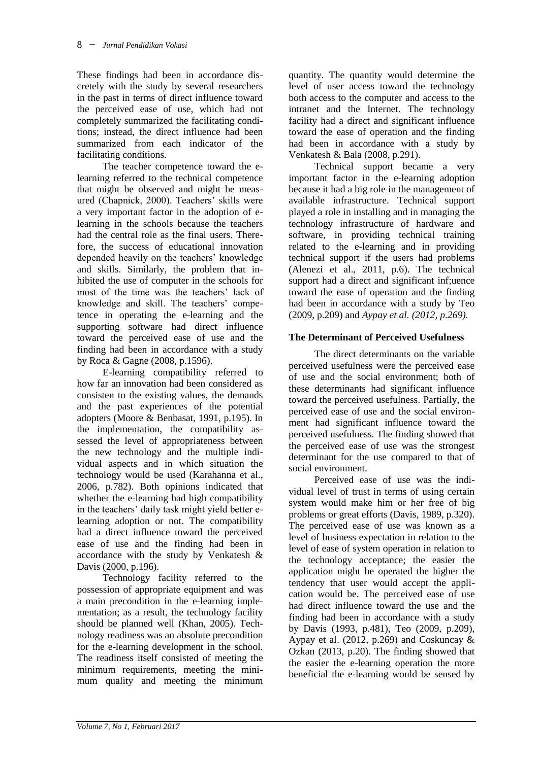These findings had been in accordance discretely with the study by several researchers in the past in terms of direct influence toward the perceived ease of use, which had not completely summarized the facilitating conditions; instead, the direct influence had been summarized from each indicator of the facilitating conditions.

The teacher competence toward the elearning referred to the technical competence that might be observed and might be measured (Chapnick, 2000). Teachers' skills were a very important factor in the adoption of elearning in the schools because the teachers had the central role as the final users. Therefore, the success of educational innovation depended heavily on the teachers' knowledge and skills. Similarly, the problem that inhibited the use of computer in the schools for most of the time was the teachers' lack of knowledge and skill. The teachers' competence in operating the e-learning and the supporting software had direct influence toward the perceived ease of use and the finding had been in accordance with a study by Roca & Gagne (2008, p.1596).

E-learning compatibility referred to how far an innovation had been considered as consisten to the existing values, the demands and the past experiences of the potential adopters (Moore & Benbasat, 1991, p.195). In the implementation, the compatibility assessed the level of appropriateness between the new technology and the multiple individual aspects and in which situation the technology would be used (Karahanna et al., 2006, p.782). Both opinions indicated that whether the e-learning had high compatibility in the teachers' daily task might yield better elearning adoption or not. The compatibility had a direct influence toward the perceived ease of use and the finding had been in accordance with the study by Venkatesh & Davis (2000, p.196).

Technology facility referred to the possession of appropriate equipment and was a main precondition in the e-learning implementation; as a result, the technology facility should be planned well (Khan, 2005). Technology readiness was an absolute precondition for the e-learning development in the school. The readiness itself consisted of meeting the minimum requirements, meeting the minimum quality and meeting the minimum

quantity. The quantity would determine the level of user access toward the technology both access to the computer and access to the intranet and the Internet. The technology facility had a direct and significant influence toward the ease of operation and the finding had been in accordance with a study by Venkatesh & Bala (2008, p.291).

Technical support became a very important factor in the e-learning adoption because it had a big role in the management of available infrastructure. Technical support played a role in installing and in managing the technology infrastructure of hardware and software, in providing technical training related to the e-learning and in providing technical support if the users had problems (Alenezi et al., 2011, p.6). The technical support had a direct and significant inf;uence toward the ease of operation and the finding had been in accordance with a study by Teo (2009, p.209) and *Aypay et al. (2012, p.269).*

## **The Determinant of Perceived Usefulness**

The direct determinants on the variable perceived usefulness were the perceived ease of use and the social environment; both of these determinants had significant influence toward the perceived usefulness. Partially, the perceived ease of use and the social environment had significant influence toward the perceived usefulness. The finding showed that the perceived ease of use was the strongest determinant for the use compared to that of social environment.

Perceived ease of use was the individual level of trust in terms of using certain system would make him or her free of big problems or great efforts (Davis, 1989, p.320). The perceived ease of use was known as a level of business expectation in relation to the level of ease of system operation in relation to the technology acceptance; the easier the application might be operated the higher the tendency that user would accept the application would be. The perceived ease of use had direct influence toward the use and the finding had been in accordance with a study by Davis (1993, p.481), Teo (2009, p.209), Aypay et al. (2012, p.269) and Coskuncay  $\&$ Ozkan (2013, p.20). The finding showed that the easier the e-learning operation the more beneficial the e-learning would be sensed by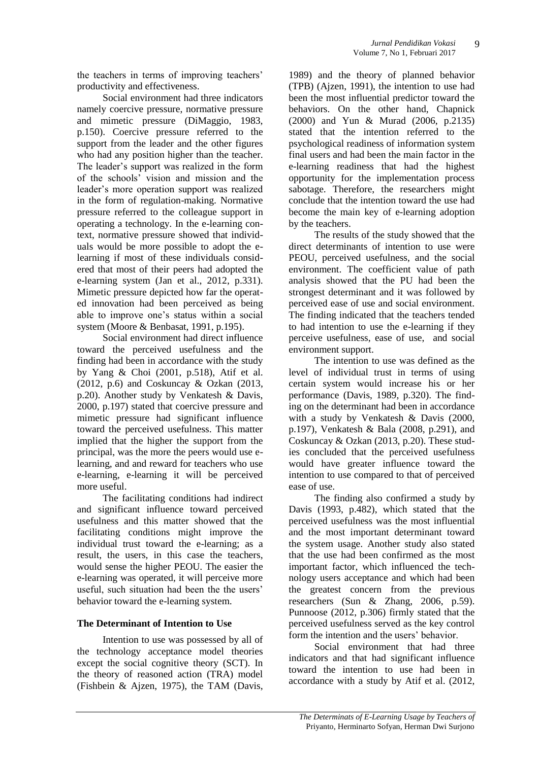the teachers in terms of improving teachers' productivity and effectiveness.

Social environment had three indicators namely coercive pressure, normative pressure and mimetic pressure (DiMaggio, 1983, p.150). Coercive pressure referred to the support from the leader and the other figures who had any position higher than the teacher. The leader's support was realized in the form of the schools' vision and mission and the leader's more operation support was realized in the form of regulation-making. Normative pressure referred to the colleague support in operating a technology. In the e-learning context, normative pressure showed that individuals would be more possible to adopt the elearning if most of these individuals considered that most of their peers had adopted the e-learning system (Jan et al., 2012, p.331). Mimetic pressure depicted how far the operated innovation had been perceived as being able to improve one's status within a social system (Moore & Benbasat, 1991, p.195).

Social environment had direct influence toward the perceived usefulness and the finding had been in accordance with the study by Yang & Choi (2001, p.518), Atif et al. (2012, p.6) and Coskuncay & Ozkan (2013, p.20). Another study by Venkatesh & Davis, 2000, p.197) stated that coercive pressure and mimetic pressure had significant influence toward the perceived usefulness. This matter implied that the higher the support from the principal, was the more the peers would use elearning, and and reward for teachers who use e-learning, e-learning it will be perceived more useful.

The facilitating conditions had indirect and significant influence toward perceived usefulness and this matter showed that the facilitating conditions might improve the individual trust toward the e-learning; as a result, the users, in this case the teachers, would sense the higher PEOU. The easier the e-learning was operated, it will perceive more useful, such situation had been the the users' behavior toward the e-learning system.

### **The Determinant of Intention to Use**

Intention to use was possessed by all of the technology acceptance model theories except the social cognitive theory (SCT). In the theory of reasoned action (TRA) model (Fishbein & Ajzen, 1975), the TAM (Davis,

1989) and the theory of planned behavior (TPB) (Ajzen, 1991), the intention to use had been the most influential predictor toward the behaviors. On the other hand, Chapnick (2000) and Yun & Murad (2006, p.2135) stated that the intention referred to the psychological readiness of information system final users and had been the main factor in the e-learning readiness that had the highest opportunity for the implementation process sabotage. Therefore, the researchers might conclude that the intention toward the use had become the main key of e-learning adoption by the teachers.

The results of the study showed that the direct determinants of intention to use were PEOU, perceived usefulness, and the social environment. The coefficient value of path analysis showed that the PU had been the strongest determinant and it was followed by perceived ease of use and social environment. The finding indicated that the teachers tended to had intention to use the e-learning if they perceive usefulness, ease of use, and social environment support.

The intention to use was defined as the level of individual trust in terms of using certain system would increase his or her performance (Davis, 1989, p.320). The finding on the determinant had been in accordance with a study by Venkatesh & Davis (2000, p.197), Venkatesh & Bala (2008, p.291), and Coskuncay & Ozkan (2013, p.20). These studies concluded that the perceived usefulness would have greater influence toward the intention to use compared to that of perceived ease of use.

The finding also confirmed a study by Davis (1993, p.482), which stated that the perceived usefulness was the most influential and the most important determinant toward the system usage. Another study also stated that the use had been confirmed as the most important factor, which influenced the technology users acceptance and which had been the greatest concern from the previous researchers (Sun & Zhang, 2006, p.59). Punnoose (2012, p.306) firmly stated that the perceived usefulness served as the key control form the intention and the users' behavior.

Social environment that had three indicators and that had significant influence toward the intention to use had been in accordance with a study by Atif et al. (2012,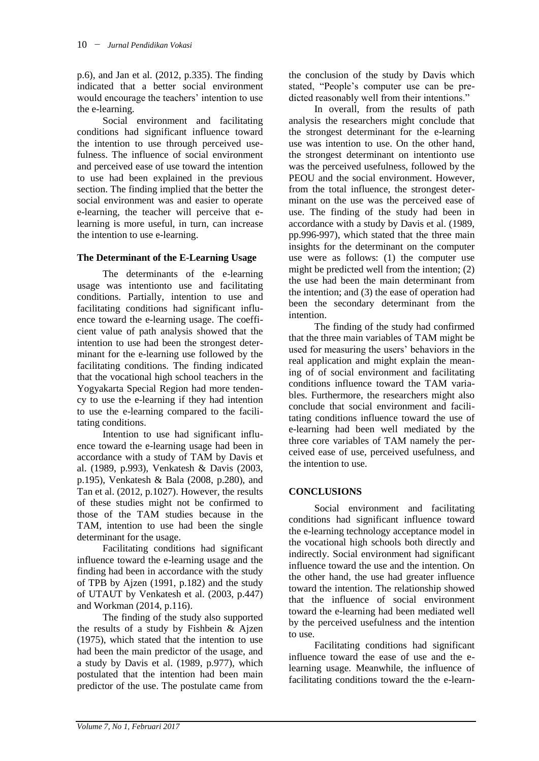p.6), and Jan et al. (2012, p.335). The finding indicated that a better social environment would encourage the teachers' intention to use the e-learning.

Social environment and facilitating conditions had significant influence toward the intention to use through perceived usefulness. The influence of social environment and perceived ease of use toward the intention to use had been explained in the previous section. The finding implied that the better the social environment was and easier to operate e-learning, the teacher will perceive that elearning is more useful, in turn, can increase the intention to use e-learning.

#### **The Determinant of the E-Learning Usage**

The determinants of the e-learning usage was intentionto use and facilitating conditions. Partially, intention to use and facilitating conditions had significant influence toward the e-learning usage. The coefficient value of path analysis showed that the intention to use had been the strongest determinant for the e-learning use followed by the facilitating conditions. The finding indicated that the vocational high school teachers in the Yogyakarta Special Region had more tendency to use the e-learning if they had intention to use the e-learning compared to the facilitating conditions.

Intention to use had significant influence toward the e-learning usage had been in accordance with a study of TAM by Davis et al. (1989, p.993), Venkatesh & Davis (2003, p.195), Venkatesh & Bala (2008, p.280), and Tan et al. (2012, p.1027). However, the results of these studies might not be confirmed to those of the TAM studies because in the TAM, intention to use had been the single determinant for the usage.

Facilitating conditions had significant influence toward the e-learning usage and the finding had been in accordance with the study of TPB by Ajzen (1991, p.182) and the study of UTAUT by Venkatesh et al. (2003, p.447) and Workman (2014, p.116).

The finding of the study also supported the results of a study by Fishbein & Ajzen (1975), which stated that the intention to use had been the main predictor of the usage, and a study by Davis et al. (1989, p.977), which postulated that the intention had been main predictor of the use. The postulate came from the conclusion of the study by Davis which stated, "People's computer use can be predicted reasonably well from their intentions."

In overall, from the results of path analysis the researchers might conclude that the strongest determinant for the e-learning use was intention to use. On the other hand, the strongest determinant on intentionto use was the perceived usefulness, followed by the PEOU and the social environment. However, from the total influence, the strongest determinant on the use was the perceived ease of use. The finding of the study had been in accordance with a study by Davis et al. (1989, pp.996-997), which stated that the three main insights for the determinant on the computer use were as follows: (1) the computer use might be predicted well from the intention; (2) the use had been the main determinant from the intention; and (3) the ease of operation had been the secondary determinant from the intention.

The finding of the study had confirmed that the three main variables of TAM might be used for measuring the users' behaviors in the real application and might explain the meaning of of social environment and facilitating conditions influence toward the TAM variables. Furthermore, the researchers might also conclude that social environment and facilitating conditions influence toward the use of e-learning had been well mediated by the three core variables of TAM namely the perceived ease of use, perceived usefulness, and the intention to use*.*

### **CONCLUSIONS**

Social environment and facilitating conditions had significant influence toward the e-learning technology acceptance model in the vocational high schools both directly and indirectly. Social environment had significant influence toward the use and the intention. On the other hand, the use had greater influence toward the intention. The relationship showed that the influence of social environment toward the e-learning had been mediated well by the perceived usefulness and the intention to use.

Facilitating conditions had significant influence toward the ease of use and the elearning usage. Meanwhile, the influence of facilitating conditions toward the the e-learn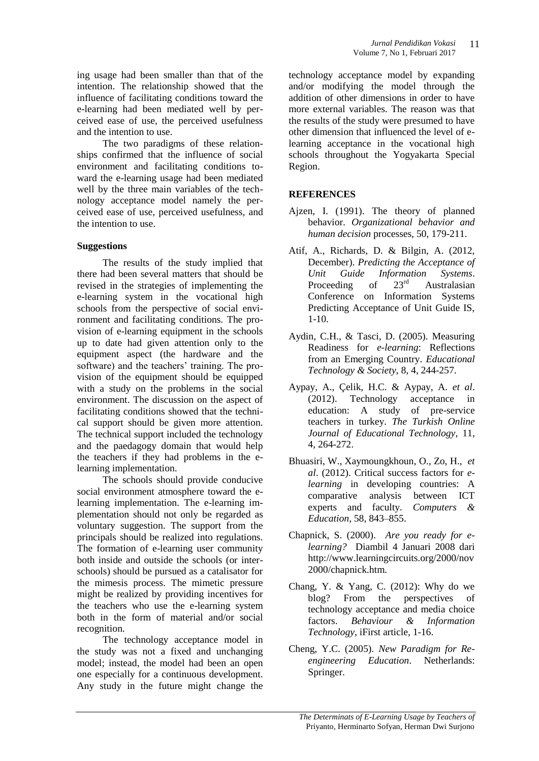ing usage had been smaller than that of the intention. The relationship showed that the influence of facilitating conditions toward the e-learning had been mediated well by perceived ease of use, the perceived usefulness and the intention to use.

The two paradigms of these relationships confirmed that the influence of social environment and facilitating conditions toward the e-learning usage had been mediated well by the three main variables of the technology acceptance model namely the perceived ease of use, perceived usefulness, and the intention to use.

### **Suggestions**

The results of the study implied that there had been several matters that should be revised in the strategies of implementing the e-learning system in the vocational high schools from the perspective of social environment and facilitating conditions. The provision of e-learning equipment in the schools up to date had given attention only to the equipment aspect (the hardware and the software) and the teachers' training. The provision of the equipment should be equipped with a study on the problems in the social environment. The discussion on the aspect of facilitating conditions showed that the technical support should be given more attention. The technical support included the technology and the paedagogy domain that would help the teachers if they had problems in the elearning implementation.

The schools should provide conducive social environment atmosphere toward the elearning implementation. The e-learning implementation should not only be regarded as voluntary suggestion. The support from the principals should be realized into regulations. The formation of e-learning user community both inside and outside the schools (or interschools) should be pursued as a catalisator for the mimesis process. The mimetic pressure might be realized by providing incentives for the teachers who use the e-learning system both in the form of material and/or social recognition.

The technology acceptance model in the study was not a fixed and unchanging model; instead, the model had been an open one especially for a continuous development. Any study in the future might change the

technology acceptance model by expanding and/or modifying the model through the addition of other dimensions in order to have more external variables. The reason was that the results of the study were presumed to have other dimension that influenced the level of elearning acceptance in the vocational high schools throughout the Yogyakarta Special Region.

### **REFERENCES**

- Ajzen, I. (1991). The theory of planned behavior. *Organizational behavior and human decision* processes, 50, 179-211.
- Atif, A., Richards, D. & Bilgin, A. (2012, December). *Predicting the Acceptance of Unit Guide Information Systems*. Proceeding of 23<sup>rd</sup> Australasian Conference on Information Systems Predicting Acceptance of Unit Guide IS, 1-10.
- Aydin, C.H., & Tasci, D. (2005). Measuring Readiness for *e-learning*: Reflections from an Emerging Country. *Educational Technology & Society*, 8, 4, 244-257.
- Aypay, A., Çelik, H.C. & Aypay, A. *et al*. (2012). Technology acceptance in education: A study of pre-service teachers in turkey. *The Turkish Online Journal of Educational Technology*, 11, 4, 264-272.
- Bhuasiri, W., Xaymoungkhoun, O., Zo, H., *et al*. (2012). Critical success factors for *elearning* in developing countries: A comparative analysis between ICT experts and faculty. *Computers & Education*, 58, 843–855.
- Chapnick, S. (2000). *Are you ready for elearning?* Diambil 4 Januari 2008 dari http://www.learningcircuits.org/2000/nov 2000/chapnick.htm.
- Chang, Y. & Yang, C. (2012): Why do we blog? From the perspectives of technology acceptance and media choice factors. *Behaviour & Information Technology*, iFirst article, 1-16.
- Cheng, Y.C. (2005). *New Paradigm for Reengineering Education*. Netherlands: Springer.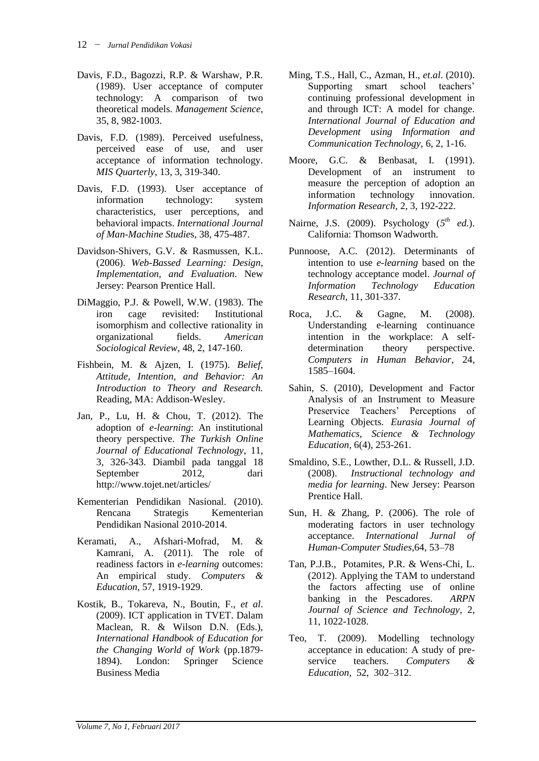- Davis, F.D., Bagozzi, R.P. & Warshaw, P.R. (1989). User acceptance of computer technology: A comparison of two theoretical models. *Management Science*, 35, 8, 982-1003.
- Davis, F.D. (1989). Perceived usefulness, perceived ease of use, and user acceptance of information technology. *MIS Quarterly*, 13, 3, 319-340.
- Davis, F.D. (1993). User acceptance of information technology: system characteristics, user perceptions, and behavioral impacts. *International Journal of Man-Machine Studie*s, 38, 475-487.
- Davidson-Shivers, G.V. & Rasmussen, K.L. (2006). *Web-Bassed Learning: Design, Implementation, and Evaluation*. New Jersey: Pearson Prentice Hall.
- DiMaggio, P.J. & Powell, W.W. (1983). The iron cage revisited: Institutional isomorphism and collective rationality in organizational fields. *American Sociological Review*, 48, 2, 147-160.
- Fishbein, M. & Ajzen, I. (1975). *Belief, Attitude, Intention, and Behavior: An Introduction to Theory and Research.* Reading, MA: Addison-Wesley.
- Jan, P., Lu, H. & Chou, T. (2012). The adoption of *e-learning*: An institutional theory perspective. *The Turkish Online Journal of Educational Technology*, 11, 3, 326-343. Diambil pada tanggal 18 September 2012, dari http://www.tojet.net/articles/
- Kementerian Pendidikan Nasional. (2010). Rencana Strategis Kementerian Pendidikan Nasional 2010-2014.
- Keramati, A., Afshari-Mofrad, M. & Kamrani, A. (2011). The role of readiness factors in *e-learning* outcomes: An empirical study. *Computers & Education*, 57, 1919-1929.
- Kostik, B., Tokareva, N., Boutin, F., *et al*. (2009). ICT application in TVET. Dalam Maclean, R. & Wilson D.N. (Eds.), *International Handbook of Education for the Changing World of Work* (pp.1879- 1894). London: Springer Science Business Media
- Ming, T.S., Hall, C., Azman, H., *et.al*. (2010). Supporting smart school teachers' continuing professional development in and through ICT: A model for change. *International Journal of Education and Development using Information and Communication Technology*, 6, 2, 1-16.
- Moore, G.C. & Benbasat, I. (1991). Development of an instrument to measure the perception of adoption an information technology innovation. *Information Research*, 2, 3, 192-222.
- Nairne, J.S. (2009). Psychology  $(5^{th}$  *ed.*). California: Thomson Wadworth.
- Punnoose, A.C. (2012). Determinants of intention to use *e-learning* based on the technology acceptance model. *Journal of Information Technology Education Research*, 11, 301-337.
- Roca, J.C. & Gagne, M. (2008). Understanding e-learning continuance intention in the workplace: A selfdetermination theory perspective. *Computers in Human Behavior*, 24, 1585–1604.
- Sahin, S. (2010), Development and Factor Analysis of an Instrument to Measure Preservice Teachers' Perceptions of Learning Objects. *Eurasia Journal of Mathematics, Science & Technology Education,* 6(4), 253-261.
- Smaldino, S.E., Lowther, D.L. & Russell, J.D. (2008). *Instructional technology and media for learning*. New Jersey: Pearson Prentice Hall.
- Sun, H. & Zhang, P. (2006). The role of moderating factors in user technology acceptance. *International Jurnal of Human-Computer Studies*,64, 53–78
- Tan, P.J.B., Potamites, P.R. & Wens-Chi, L. (2012). Applying the TAM to understand the factors affecting use of online banking in the Pescadores. *ARPN Journal of Science and Technology*, 2, 11, 1022-1028.
- Teo, T. (2009). Modelling technology acceptance in education: A study of preservice teachers. *Computers & Education*, 52, 302–312.